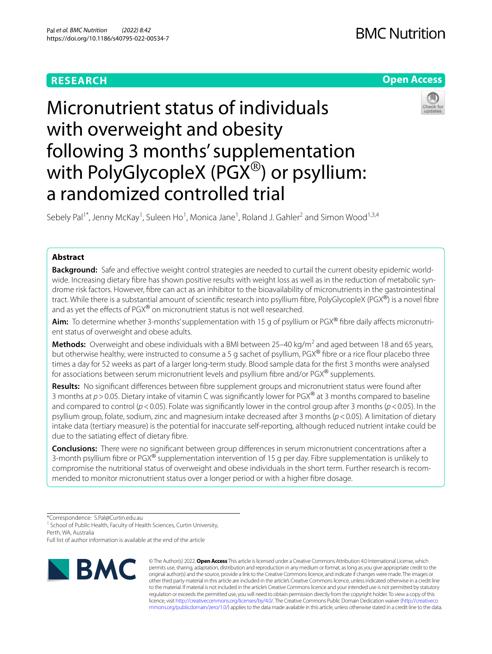## **RESEARCH**

## **BMC Nutrition**





# Micronutrient status of individuals with overweight and obesity following 3 months' supplementation with PolyGlycopleX (PGX<sup>®</sup>) or psyllium: a randomized controlled trial

Sebely Pal<sup>1\*</sup>, Jenny McKay<sup>1</sup>, Suleen Ho<sup>1</sup>, Monica Jane<sup>1</sup>, Roland J. Gahler<sup>2</sup> and Simon Wood<sup>1,3,4</sup>

### **Abstract**

**Background:** Safe and efective weight control strategies are needed to curtail the current obesity epidemic worldwide. Increasing dietary fbre has shown positive results with weight loss as well as in the reduction of metabolic syndrome risk factors. However, fbre can act as an inhibitor to the bioavailability of micronutrients in the gastrointestinal tract. While there is a substantial amount of scientific research into psyllium fibre, PolyGlycopleX (PGX<sup>®</sup>) is a novel fibre and as yet the effects of PGX® on micronutrient status is not well researched.

**Aim:** To determine whether 3-months' supplementation with 15 g of psyllium or PGX® fibre daily affects micronutrient status of overweight and obese adults.

Methods: Overweight and obese individuals with a BMI between 25-40 kg/m<sup>2</sup> and aged between 18 and 65 years, but otherwise healthy, were instructed to consume a 5 g sachet of psyllium, PGX® fibre or a rice flour placebo three times a day for 52 weeks as part of a larger long-term study. Blood sample data for the first 3 months were analysed for associations between serum micronutrient levels and psyllium fibre and/or PGX® supplements.

**Results:** No signifcant diferences between fbre supplement groups and micronutrient status were found after 3 months at *p*>0.05. Dietary intake of vitamin C was signifcantly lower for PGX® at 3 months compared to baseline and compared to control ( $p$ <0.05). Folate was significantly lower in the control group after 3 months ( $p$ <0.05). In the psyllium group, folate, sodium, zinc and magnesium intake decreased after 3 months (*p*<0.05). A limitation of dietary intake data (tertiary measure) is the potential for inaccurate self-reporting, although reduced nutrient intake could be due to the satiating efect of dietary fbre.

**Conclusions:** There were no signifcant between group diferences in serum micronutrient concentrations after a 3-month psyllium fibre or  $PGX^@$  supplementation intervention of 15 g per day. Fibre supplementation is unlikely to compromise the nutritional status of overweight and obese individuals in the short term. Further research is recommended to monitor micronutrient status over a longer period or with a higher fbre dosage.

\*Correspondence: S.Pal@Curtin.edu.au

<sup>1</sup> School of Public Health, Faculty of Health Sciences, Curtin University,

Perth, WA, Australia

Full list of author information is available at the end of the article



© The Author(s) 2022. **Open Access** This article is licensed under a Creative Commons Attribution 4.0 International License, which permits use, sharing, adaptation, distribution and reproduction in any medium or format, as long as you give appropriate credit to the original author(s) and the source, provide a link to the Creative Commons licence, and indicate if changes were made. The images or other third party material in this article are included in the article's Creative Commons licence, unless indicated otherwise in a credit line to the material. If material is not included in the article's Creative Commons licence and your intended use is not permitted by statutory regulation or exceeds the permitted use, you will need to obtain permission directly from the copyright holder. To view a copy of this licence, visit [http://creativecommons.org/licenses/by/4.0/.](http://creativecommons.org/licenses/by/4.0/) The Creative Commons Public Domain Dedication waiver ([http://creativeco](http://creativecommons.org/publicdomain/zero/1.0/) [mmons.org/publicdomain/zero/1.0/](http://creativecommons.org/publicdomain/zero/1.0/)) applies to the data made available in this article, unless otherwise stated in a credit line to the data.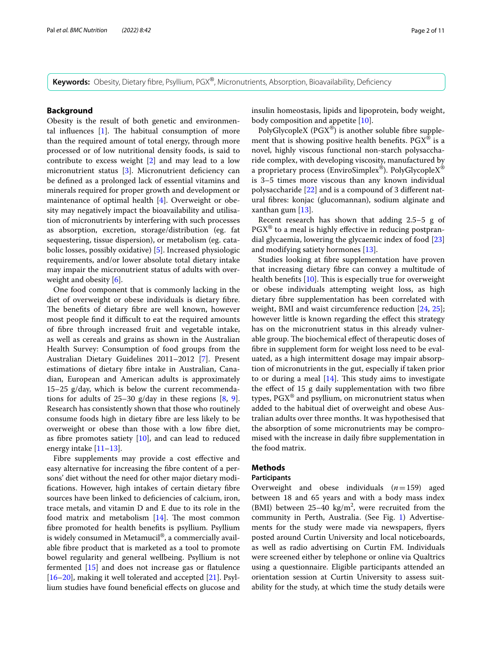**Keywords:** Obesity, Dietary fbre, Psyllium, PGX®, Micronutrients, Absorption, Bioavailability, Defciency

#### **Background**

Obesity is the result of both genetic and environmental influences  $[1]$ . The habitual consumption of more than the required amount of total energy, through more processed or of low nutritional density foods, is said to contribute to excess weight [[2\]](#page-9-1) and may lead to a low micronutrient status [\[3](#page-9-2)]. Micronutrient deficiency can be defned as a prolonged lack of essential vitamins and minerals required for proper growth and development or maintenance of optimal health [[4\]](#page-9-3). Overweight or obesity may negatively impact the bioavailability and utilisation of micronutrients by interfering with such processes as absorption, excretion, storage/distribution (eg. fat sequestering, tissue dispersion), or metabolism (eg. catabolic losses, possibly oxidative) [\[5](#page-9-4)]. Increased physiologic requirements, and/or lower absolute total dietary intake may impair the micronutrient status of adults with overweight and obesity [\[6](#page-9-5)].

One food component that is commonly lacking in the diet of overweight or obese individuals is dietary fbre. The benefits of dietary fibre are well known, however most people find it difficult to eat the required amounts of fbre through increased fruit and vegetable intake, as well as cereals and grains as shown in the Australian Health Survey: Consumption of food groups from the Australian Dietary Guidelines 2011–2012 [\[7\]](#page-9-6). Present estimations of dietary fbre intake in Australian, Canadian, European and American adults is approximately 15–25 g/day, which is below the current recommendations for adults of  $25-30$  g/day in these regions  $[8, 9]$  $[8, 9]$  $[8, 9]$  $[8, 9]$  $[8, 9]$ . Research has consistently shown that those who routinely consume foods high in dietary fbre are less likely to be overweight or obese than those with a low fbre diet, as fibre promotes satiety  $[10]$  $[10]$ , and can lead to reduced energy intake [[11–](#page-9-10)[13\]](#page-9-11).

Fibre supplements may provide a cost effective and easy alternative for increasing the fbre content of a persons' diet without the need for other major dietary modifcations. However, high intakes of certain dietary fbre sources have been linked to deficiencies of calcium, iron, trace metals, and vitamin D and E due to its role in the food matrix and metabolism  $[14]$  $[14]$ . The most common fbre promoted for health benefts is psyllium. Psyllium is widely consumed in Metamucil®, a commercially available fbre product that is marketed as a tool to promote bowel regularity and general wellbeing. Psyllium is not fermented [\[15](#page-9-13)] and does not increase gas or fatulence [[16–](#page-10-0)[20](#page-10-1)], making it well tolerated and accepted [[21\]](#page-10-2). Psyllium studies have found benefcial efects on glucose and insulin homeostasis, lipids and lipoprotein, body weight, body composition and appetite [[10\]](#page-9-9).

PolyGlycopleX ( $PGX^{\circledast}$ ) is another soluble fibre supplement that is showing positive health benefits.  $PGX^{\omega}$  is a novel, highly viscous functional non-starch polysaccharide complex, with developing viscosity, manufactured by a proprietary process (EnviroSimplex®). PolyGlycopleX® is 3–5 times more viscous than any known individual polysaccharide [\[22\]](#page-10-3) and is a compound of 3 diferent natural fbres: konjac (glucomannan), sodium alginate and xanthan gum [\[13\]](#page-9-11).

Recent research has shown that adding 2.5–5 g of  $PGX^{\circledast}$  to a meal is highly effective in reducing postprandial glycaemia, lowering the glycaemic index of food [[23](#page-10-4)] and modifying satiety hormones [\[13](#page-9-11)].

Studies looking at fbre supplementation have proven that increasing dietary fbre can convey a multitude of health benefits  $[10]$  $[10]$ . This is especially true for overweight or obese individuals attempting weight loss, as high dietary fbre supplementation has been correlated with weight, BMI and waist circumference reduction [\[24](#page-10-5), [25](#page-10-6)]; however little is known regarding the efect this strategy has on the micronutrient status in this already vulnerable group. The biochemical effect of therapeutic doses of fbre in supplement form for weight loss need to be evaluated, as a high intermittent dosage may impair absorption of micronutrients in the gut, especially if taken prior to or during a meal  $[14]$  $[14]$ . This study aims to investigate the effect of 15 g daily supplementation with two fibre types,  $PGX^{\circledast}$  and psyllium, on micronutrient status when added to the habitual diet of overweight and obese Australian adults over three months. It was hypothesised that the absorption of some micronutrients may be compromised with the increase in daily fbre supplementation in the food matrix.

#### **Methods**

#### **Participants**

Overweight and obese individuals (*n*=159) aged between 18 and 65 years and with a body mass index (BMI) between  $25-40 \text{ kg/m}^2$ , were recruited from the community in Perth, Australia. (See Fig. [1](#page-2-0)) Advertisements for the study were made via newspapers, fyers posted around Curtin University and local noticeboards, as well as radio advertising on Curtin FM. Individuals were screened either by telephone or online via Qualtrics using a questionnaire. Eligible participants attended an orientation session at Curtin University to assess suitability for the study, at which time the study details were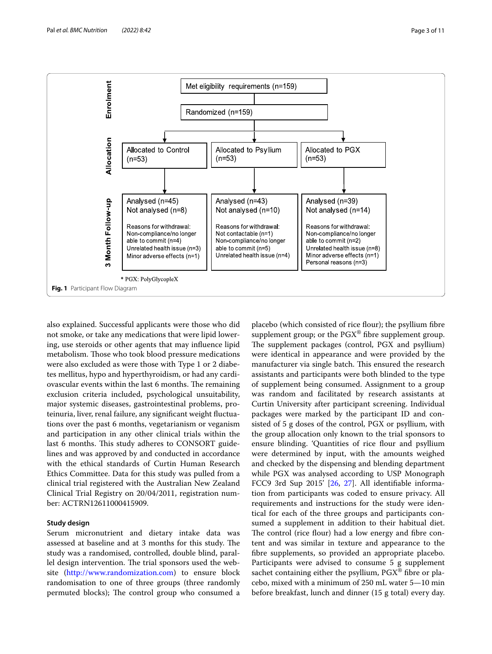

<span id="page-2-0"></span>also explained. Successful applicants were those who did not smoke, or take any medications that were lipid lowering, use steroids or other agents that may infuence lipid metabolism. Those who took blood pressure medications were also excluded as were those with Type 1 or 2 diabetes mellitus, hypo and hyperthyroidism, or had any cardiovascular events within the last 6 months. The remaining exclusion criteria included, psychological unsuitability, major systemic diseases, gastrointestinal problems, proteinuria, liver, renal failure, any signifcant weight fuctuations over the past 6 months, vegetarianism or veganism and participation in any other clinical trials within the last 6 months. This study adheres to CONSORT guidelines and was approved by and conducted in accordance with the ethical standards of Curtin Human Research Ethics Committee. Data for this study was pulled from a clinical trial registered with the Australian New Zealand Clinical Trial Registry on 20/04/2011, registration number: ACTRN12611000415909.

#### **Study design**

Serum micronutrient and dietary intake data was assessed at baseline and at 3 months for this study. The study was a randomised, controlled, double blind, parallel design intervention. The trial sponsors used the website [\(http://www.randomization.com](http://www.randomization.com)) to ensure block randomisation to one of three groups (three randomly permuted blocks); The control group who consumed a

placebo (which consisted of rice flour); the psyllium fibre supplement group; or the  $PGX^{\circledast}$  fibre supplement group. The supplement packages (control, PGX and psyllium) were identical in appearance and were provided by the manufacturer via single batch. This ensured the research assistants and participants were both blinded to the type of supplement being consumed. Assignment to a group was random and facilitated by research assistants at Curtin University after participant screening. Individual packages were marked by the participant ID and consisted of 5 g doses of the control, PGX or psyllium, with the group allocation only known to the trial sponsors to ensure blinding. 'Quantities of rice flour and psyllium were determined by input, with the amounts weighed and checked by the dispensing and blending department while PGX was analysed according to USP Monograph FCC9 3rd Sup 2015' [\[26,](#page-10-7) [27](#page-10-8)]. All identifable information from participants was coded to ensure privacy. All requirements and instructions for the study were identical for each of the three groups and participants consumed a supplement in addition to their habitual diet. The control (rice flour) had a low energy and fibre content and was similar in texture and appearance to the fbre supplements, so provided an appropriate placebo. Participants were advised to consume 5 g supplement sachet containing either the psyllium,  $PGX^{\circledast}$  fibre or placebo, mixed with a minimum of 250 mL water 5—10 min before breakfast, lunch and dinner (15 g total) every day.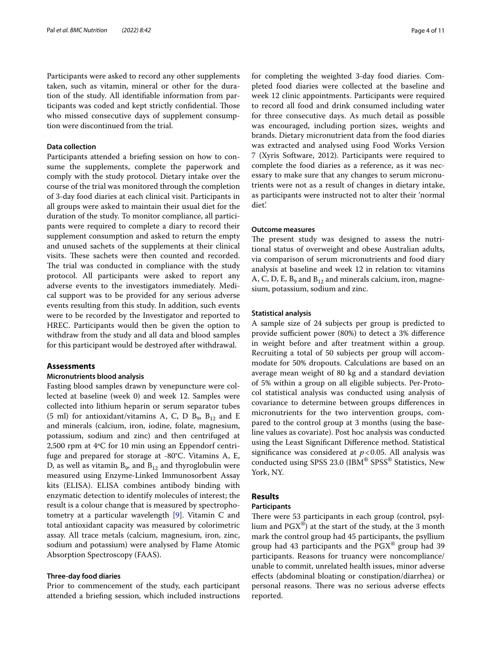Participants were asked to record any other supplements taken, such as vitamin, mineral or other for the duration of the study. All identifable information from participants was coded and kept strictly confdential. Tose who missed consecutive days of supplement consumption were discontinued from the trial.

#### **Data collection**

Participants attended a briefng session on how to consume the supplements, complete the paperwork and comply with the study protocol. Dietary intake over the course of the trial was monitored through the completion of 3-day food diaries at each clinical visit. Participants in all groups were asked to maintain their usual diet for the duration of the study. To monitor compliance, all participants were required to complete a diary to record their supplement consumption and asked to return the empty and unused sachets of the supplements at their clinical visits. These sachets were then counted and recorded. The trial was conducted in compliance with the study protocol. All participants were asked to report any adverse events to the investigators immediately. Medical support was to be provided for any serious adverse events resulting from this study. In addition, such events were to be recorded by the Investigator and reported to HREC. Participants would then be given the option to withdraw from the study and all data and blood samples for this participant would be destroyed after withdrawal.

#### **Assessments**

#### **Micronutrients blood analysis**

Fasting blood samples drawn by venepuncture were collected at baseline (week 0) and week 12. Samples were collected into lithium heparin or serum separator tubes (5 ml) for antioxidant/vitamins A, C, D  $B_9$ ,  $B_{12}$  and E and minerals (calcium, iron, iodine, folate, magnesium, potassium, sodium and zinc) and then centrifuged at 2,500 rpm at 4ºC for 10 min using an Eppendorf centrifuge and prepared for storage at -80°C. Vitamins A, E, D, as well as vitamin  $B_9$ , and  $B_{12}$  and thyroglobulin were measured using Enzyme-Linked Immunosorbent Assay kits (ELISA). ELISA combines antibody binding with enzymatic detection to identify molecules of interest; the result is a colour change that is measured by spectrophotometry at a particular wavelength [\[9](#page-9-8)]. Vitamin C and total antioxidant capacity was measured by colorimetric assay. All trace metals (calcium, magnesium, iron, zinc, sodium and potassium) were analysed by Flame Atomic Absorption Spectroscopy (FAAS).

#### **Three‑day food diaries**

Prior to commencement of the study, each participant attended a briefng session, which included instructions for completing the weighted 3-day food diaries. Completed food diaries were collected at the baseline and week 12 clinic appointments. Participants were required to record all food and drink consumed including water for three consecutive days. As much detail as possible was encouraged, including portion sizes, weights and brands. Dietary micronutrient data from the food diaries was extracted and analysed using Food Works Version 7 (Xyris Software, 2012). Participants were required to complete the food diaries as a reference, as it was necessary to make sure that any changes to serum micronutrients were not as a result of changes in dietary intake, as participants were instructed not to alter their 'normal diet'.

#### **Outcome measures**

The present study was designed to assess the nutritional status of overweight and obese Australian adults, via comparison of serum micronutrients and food diary analysis at baseline and week 12 in relation to: vitamins A, C, D, E,  $B_9$  and  $B_{12}$  and minerals calcium, iron, magnesium, potassium, sodium and zinc.

#### **Statistical analysis**

A sample size of 24 subjects per group is predicted to provide sufficient power (80%) to detect a 3% difference in weight before and after treatment within a group. Recruiting a total of 50 subjects per group will accommodate for 50% dropouts. Calculations are based on an average mean weight of 80 kg and a standard deviation of 5% within a group on all eligible subjects. Per-Protocol statistical analysis was conducted using analysis of covariance to determine between groups diferences in micronutrients for the two intervention groups, compared to the control group at 3 months (using the baseline values as covariate). Post hoc analysis was conducted using the Least Signifcant Diference method. Statistical significance was considered at  $p < 0.05$ . All analysis was conducted using SPSS 23.0 (IBM® SPSS® Statistics, New York, NY.

#### **Results**

#### **Participants**

There were 53 participants in each group (control, psyllium and  $PGX^{\circledast}$ ) at the start of the study, at the 3 month mark the control group had 45 participants, the psyllium group had 43 participants and the  $PGX^{\circledast}$  group had 39 participants. Reasons for truancy were noncompliance/ unable to commit, unrelated health issues, minor adverse efects (abdominal bloating or constipation/diarrhea) or personal reasons. There was no serious adverse effects reported.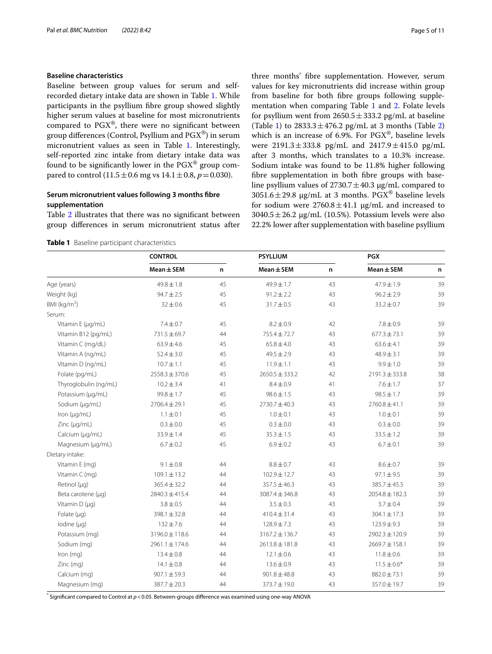#### **Baseline characteristics**

Baseline between group values for serum and selfrecorded dietary intake data are shown in Table [1.](#page-4-0) While participants in the psyllium fbre group showed slightly higher serum values at baseline for most micronutrients compared to  $PGX^{\circledast}$ , there were no significant between group differences (Control, Psyllium and  $PGX^{\circledast}$ ) in serum micronutrient values as seen in Table [1](#page-4-0). Interestingly, self-reported zinc intake from dietary intake data was found to be significantly lower in the  $PGX^{\circledast}$  group compared to control  $(11.5 \pm 0.6 \text{ mg vs } 14.1 \pm 0.8, p = 0.030)$ .

#### **Serum micronutrient values following 3 months fbre supplementation**

Table [2](#page-5-0) illustrates that there was no signifcant between group diferences in serum micronutrient status after

<span id="page-4-0"></span>**Table 1** Baseline participant characteristics

three months' fbre supplementation. However, serum values for key micronutrients did increase within group from baseline for both fbre groups following supple-mentation when comparing Table [1](#page-4-0) and [2](#page-5-0). Folate levels for psyllium went from  $2650.5 \pm 333.2$  pg/mL at baseline (Table [1](#page-4-0)) to  $2833.3 \pm 476.2$  $2833.3 \pm 476.2$  pg/mL at 3 months (Table 2) which is an increase of 6.9%. For PGX®, baseline levels were  $2191.3 \pm 333.8$  pg/mL and  $2417.9 \pm 415.0$  pg/mL after 3 months, which translates to a 10.3% increase. Sodium intake was found to be 11.8% higher following fbre supplementation in both fbre groups with baseline psyllium values of  $2730.7 \pm 40.3$  µg/mL compared to  $3051.6 \pm 29.8$  µg/mL at 3 months. PGX<sup>®</sup> baseline levels for sodium were  $2760.8 \pm 41.1$   $\mu$ g/mL and increased to  $3040.5 \pm 26.2$  µg/mL (10.5%). Potassium levels were also 22.2% lower after supplementation with baseline psyllium

|                       | <b>CONTROL</b>     |    | <b>PSYLLIUM</b>    |    | <b>PGX</b>         |    |  |
|-----------------------|--------------------|----|--------------------|----|--------------------|----|--|
|                       | $Mean \pm SEM$     | n  | $Mean \pm SEM$     | n  | $Mean \pm SEM$     | n  |  |
| Age (years)           | $49.8 \pm 1.8$     | 45 | 49.9±1.7           | 43 | 47.9±1.9           | 39 |  |
| Weight (kg)           | $94.7 \pm 2.5$     | 45 | $91.2 \pm 2.2$     | 43 | $96.2 \pm 2.9$     | 39 |  |
| BMI ( $kg/m2$ )       | $32 \pm 0.6$       | 45 | $31.7 \pm 0.5$     | 43 | $33.2 \pm 0.7$     | 39 |  |
| Serum:                |                    |    |                    |    |                    |    |  |
| Vitamin E (µg/mL)     | $7.4 \pm 0.7$      | 45 | $8.2 \pm 0.9$      | 42 | $7.8 \pm 0.9$      | 39 |  |
| Vitamin B12 (pg/mL)   | 731.5 ± 69.7       | 44 | 755.4 ± 72.7       | 43 | $677.3 \pm 73.1$   | 39 |  |
| Vitamin C (mg/dL)     | $63.9 \pm 4.6$     | 45 | $65.8 \pm 4.0$     | 43 | $63.6 \pm 4.1$     | 39 |  |
| Vitamin A (ng/mL)     | $52.4 \pm 3.0$     | 45 | $49.5 \pm 2.9$     | 43 | $48.9 \pm 3.1$     | 39 |  |
| Vitamin D (ng/mL)     | $10.7 \pm 1.1$     | 45 | $11.9 \pm 1.1$     | 43 | $9.9 \pm 1.0$      | 39 |  |
| Folate (pg/mL)        | $2558.3 \pm 370.6$ | 45 | $2650.5 \pm 333.2$ | 42 | $2191.3 \pm 333.8$ | 38 |  |
| Thyroglobulin (ng/mL) | $10.2 \pm 3.4$     | 41 | $8.4 \pm 0.9$      | 41 | $7.6 \pm 1.7$      | 37 |  |
| Potassium (µg/mL)     | $99.8 \pm 1.7$     | 45 | $98.6 \pm 1.5$     | 43 | $98.5 \pm 1.7$     | 39 |  |
| Sodium (µg/mL)        | $2706.4 \pm 29.1$  | 45 | $2730.7 \pm 40.3$  | 43 | $2760.8 \pm 41.1$  | 39 |  |
| Iron (µg/mL)          | $1.1 \pm 0.1$      | 45 | $1.0 \pm 0.1$      | 43 | $1.0 \pm 0.1$      | 39 |  |
| Zinc (µg/mL)          | $0.3 \pm 0.0$      | 45 | $0.3 \pm 0.0$      | 43 | $0.3 \pm 0.0$      | 39 |  |
| Calcium (µg/mL)       | 33.9±1.4           | 45 | $35.3 \pm 1.5$     | 43 | $33.5 \pm 1.2$     | 39 |  |
| Magnesium (µg/mL)     | $6.7 \pm 0.2$      | 45 | $6.9 \pm 0.2$      | 43 | $6.7 \pm 0.1$      | 39 |  |
| Dietary intake:       |                    |    |                    |    |                    |    |  |
| Vitamin E (mg)        | $9.1 \pm 0.8$      | 44 | $8.8 \pm 0.7$      | 43 | $8.6 \pm 0.7$      | 39 |  |
| Vitamin C (mg)        | $109.1 \pm 13.2$   | 44 | $102.9 \pm 12.7$   | 43 | $97.1 \pm 9.5$     | 39 |  |
| Retinol $(\mu q)$     | $365.4 \pm 32.2$   | 44 | $357.5 \pm 46.3$   | 43 | 385.7±45.5         | 39 |  |
| Beta carotene (µq)    | $2840.3 \pm 415.4$ | 44 | $3087.4 \pm 346.8$ | 43 | $2054.8 \pm 182.3$ | 39 |  |
| Vitamin D (µg)        | $3.8 \pm 0.5$      | 44 | $3.5 \pm 0.3$      | 43 | $3.7 \pm 0.4$      | 39 |  |
| Folate $(\mu q)$      | $398.1 \pm 32.8$   | 44 | $410.4 \pm 31.4$   | 43 | $304.1 \pm 17.3$   | 39 |  |
| Iodine (µq)           | $132 \pm 7.6$      | 44 | $128.9 \pm 7.3$    | 43 | $123.9 \pm 9.3$    | 39 |  |
| Potassium (mg)        | $3196.0 \pm 118.6$ | 44 | $3167.2 \pm 136.7$ | 43 | $2902.3 \pm 120.9$ | 39 |  |
| Sodium (mg)           | $2961.1 \pm 174.6$ | 44 | $2613.8 \pm 181.8$ | 43 | $2669.7 \pm 158.1$ | 39 |  |
| Iron (mg)             | $13.4 \pm 0.8$     | 44 | $12.1 \pm 0.6$     | 43 | $11.8 \pm 0.6$     | 39 |  |
| Zinc (mg)             | $14.1 \pm 0.8$     | 44 | $13.6 \pm 0.9$     | 43 | $11.5 \pm 0.6*$    | 39 |  |
| Calcium (mg)          | $907.1 \pm 59.3$   | 44 | $901.8 \pm 48.8$   | 43 | $882.0 \pm 73.1$   | 39 |  |
| Magnesium (mg)        | 387.7±20.3         | 44 | 373.7±19.0         | 43 | 357.0 ± 19.7       | 39 |  |
|                       |                    |    |                    |    |                    |    |  |

\* Signifcant compared to Control at *p*<0.05. Between-groups diference was examined using one-way ANOVA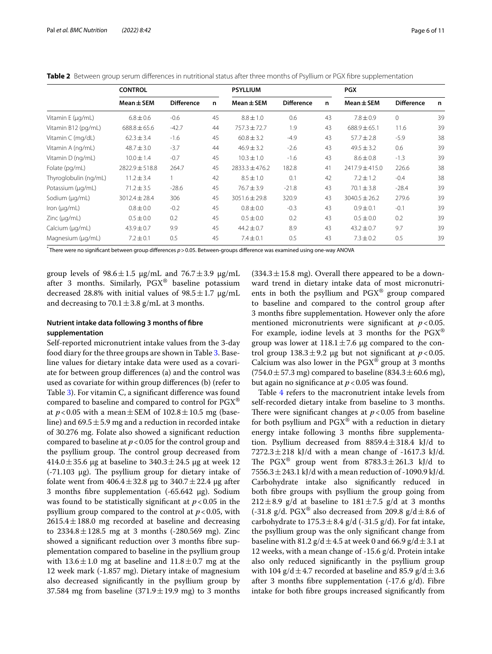<span id="page-5-0"></span>

|  |  |  |  |  |  |  | Table 2 Between group serum differences in nutritional status after three months of Psyllium or PGX fibre supplementation |
|--|--|--|--|--|--|--|---------------------------------------------------------------------------------------------------------------------------|
|--|--|--|--|--|--|--|---------------------------------------------------------------------------------------------------------------------------|

|                       | <b>CONTROL</b>     |                   |    | <b>PSYLLIUM</b>    |                   |    | <b>PGX</b>         |                   |    |
|-----------------------|--------------------|-------------------|----|--------------------|-------------------|----|--------------------|-------------------|----|
|                       | $Mean \pm SEM$     | <b>Difference</b> | n  | $Mean \pm SEM$     | <b>Difference</b> | n  | $Mean \pm SEM$     | <b>Difference</b> | n  |
| Vitamin E (µg/mL)     | $6.8 \pm 0.6$      | $-0.6$            | 45 | $8.8 \pm 1.0$      | 0.6               | 43 | $7.8 \pm 0.9$      | $\mathbf{0}$      | 39 |
| Vitamin B12 (pg/mL)   | $688.8 \pm 65.6$   | $-42.7$           | 44 | $757.3 \pm 72.7$   | 1.9               | 43 | $688.9 \pm 65.1$   | 11.6              | 39 |
| Vitamin C (mg/dL)     | $62.3 \pm 3.4$     | $-1.6$            | 45 | $60.8 \pm 3.2$     | $-4.9$            | 43 | $57.7 \pm 2.8$     | $-5.9$            | 38 |
| Vitamin A (ng/mL)     | $48.7 \pm 3.0$     | $-3.7$            | 44 | $46.9 \pm 3.2$     | $-2.6$            | 43 | $49.5 \pm 3.2$     | 0.6               | 39 |
| Vitamin D (ng/mL)     | $10.0 \pm 1.4$     | $-0.7$            | 45 | $10.3 \pm 1.0$     | $-1.6$            | 43 | $8.6 \pm 0.8$      | $-1.3$            | 39 |
| Folate (pg/mL)        | $2822.9 \pm 518.8$ | 264.7             | 45 | $2833.3 \pm 476.2$ | 182.8             | 41 | $2417.9 \pm 415.0$ | 226.6             | 38 |
| Thyroglobulin (ng/mL) | $11.2 \pm 3.4$     |                   | 42 | $8.5 \pm 1.0$      | 0.1               | 42 | $7.2 \pm 1.2$      | $-0.4$            | 38 |
| Potassium (µg/mL)     | $71.2 \pm 3.5$     | $-28.6$           | 45 | $76.7 \pm 3.9$     | $-21.8$           | 43 | $70.1 \pm 3.8$     | $-28.4$           | 39 |
| Sodium (µg/mL)        | $3012.4 \pm 28.4$  | 306               | 45 | $3051.6 \pm 29.8$  | 320.9             | 43 | $3040.5 \pm 26.2$  | 279.6             | 39 |
| Iron $(\mu q/mL)$     | $0.8 \pm 0.0$      | $-0.2$            | 45 | $0.8 \pm 0.0$      | $-0.3$            | 43 | $0.9 \pm 0.1$      | $-0.1$            | 39 |
| $Zinc$ ( $\mu q/mL$ ) | $0.5 \pm 0.0$      | 0.2               | 45 | $0.5 \pm 0.0$      | 0.2               | 43 | $0.5 \pm 0.0$      | 0.2               | 39 |
| Calcium (µg/mL)       | $43.9 \pm 0.7$     | 9.9               | 45 | $44.2 \pm 0.7$     | 8.9               | 43 | $43.2 \pm 0.7$     | 9.7               | 39 |
| Magnesium (µg/mL)     | $7.2 \pm 0.1$      | 0.5               | 45 | $7.4 \pm 0.1$      | 0.5               | 43 | $7.3 \pm 0.2$      | 0.5               | 39 |

\* There were no signifcant between group diferences *p*>0.05. Between-groups diference was examined using one-way ANOVA

group levels of  $98.6 \pm 1.5$   $\mu$ g/mL and  $76.7 \pm 3.9$   $\mu$ g/mL after 3 months. Similarly, PGX® baseline potassium decreased 28.8% with initial values of  $98.5 \pm 1.7$  µg/mL and decreasing to  $70.1 \pm 3.8$  g/mL at 3 months.

#### **Nutrient intake data following 3 months of fbre supplementation**

Self-reported micronutrient intake values from the 3-day food diary for the three groups are shown in Table [3.](#page-6-0) Baseline values for dietary intake data were used as a covariate for between group diferences (a) and the control was used as covariate for within group diferences (b) (refer to Table [3](#page-6-0)). For vitamin C, a signifcant diference was found compared to baseline and compared to control for PGX® at  $p < 0.05$  with a mean  $\pm$  SEM of  $102.8 \pm 10.5$  mg (baseline) and  $69.5 \pm 5.9$  mg and a reduction in recorded intake of 30.276 mg. Folate also showed a signifcant reduction compared to baseline at  $p < 0.05$  for the control group and the psyllium group. The control group decreased from 414.0  $\pm$  35.6 µg at baseline to 340.3  $\pm$  24.5 µg at week 12  $(-71.103 \mu g)$ . The psyllium group for dietary intake of folate went from  $406.4 \pm 32.8$  µg to  $340.7 \pm 22.4$  µg after 3 months fibre supplementation  $(-65.642 \text{ µg})$ . Sodium was found to be statistically significant at  $p < 0.05$  in the psyllium group compared to the control at  $p < 0.05$ , with  $2615.4 \pm 188.0$  mg recorded at baseline and decreasing to  $2334.8 \pm 128.5$  mg at 3 months (-280.569 mg). Zinc showed a signifcant reduction over 3 months fbre supplementation compared to baseline in the psyllium group with  $13.6 \pm 1.0$  mg at baseline and  $11.8 \pm 0.7$  mg at the 12 week mark (-1.857 mg). Dietary intake of magnesium also decreased signifcantly in the psyllium group by 37.584 mg from baseline (371.9 $\pm$ 19.9 mg) to 3 months

 $(334.3 \pm 15.8 \text{ mg})$ . Overall there appeared to be a downward trend in dietary intake data of most micronutrients in both the psyllium and PGX® group compared to baseline and compared to the control group after 3 months fbre supplementation. However only the afore mentioned micronutrients were significant at  $p < 0.05$ . For example, iodine levels at 3 months for the  $PGX^{\circledast}$ group was lower at  $118.1 \pm 7.6$  µg compared to the control group  $138.3 \pm 9.2$  µg but not significant at  $p < 0.05$ . Calcium was also lower in the  $PGX^{\circledast}$  group at 3 months  $(754.0 \pm 57.3 \text{ mg})$  compared to baseline  $(834.3 \pm 60.6 \text{ mg})$ , but again no significance at  $p < 0.05$  was found.

Table [4](#page-7-0) refers to the macronutrient intake levels from self-recorded dietary intake from baseline to 3 months. There were significant changes at  $p < 0.05$  from baseline for both psyllium and  $PGX^{\circledast}$  with a reduction in dietary energy intake following 3 months fbre supplementation. Psyllium decreased from  $8859.4 \pm 318.4$  kJ/d to 7272.3 $\pm$ 218 kJ/d with a mean change of -1617.3 kJ/d. The PGX<sup>®</sup> group went from  $8783.3 \pm 261.3$  kJ/d to 7556.3  $\pm$  243.1 kJ/d with a mean reduction of -1090.9 kJ/d. Carbohydrate intake also signifcantly reduced in both fbre groups with psyllium the group going from  $212 \pm 8.9$  g/d at baseline to  $181 \pm 7.5$  g/d at 3 months (-31.8 g/d. PGX<sup>®</sup> also decreased from 209.8 g/d $\pm$ 8.6 of carbohydrate to  $175.3 \pm 8.4$  g/d (-31.5 g/d). For fat intake, the psyllium group was the only signifcant change from baseline with 81.2  $g/d \pm 4.5$  at week 0 and 66.9  $g/d \pm 3.1$  at 12 weeks, with a mean change of -15.6 g/d. Protein intake also only reduced signifcantly in the psyllium group with 104 g/d  $\pm$  4.7 recorded at baseline and 85.9 g/d  $\pm$  3.6 after 3 months fibre supplementation  $(-17.6 \text{ g/d})$ . Fibre intake for both fbre groups increased signifcantly from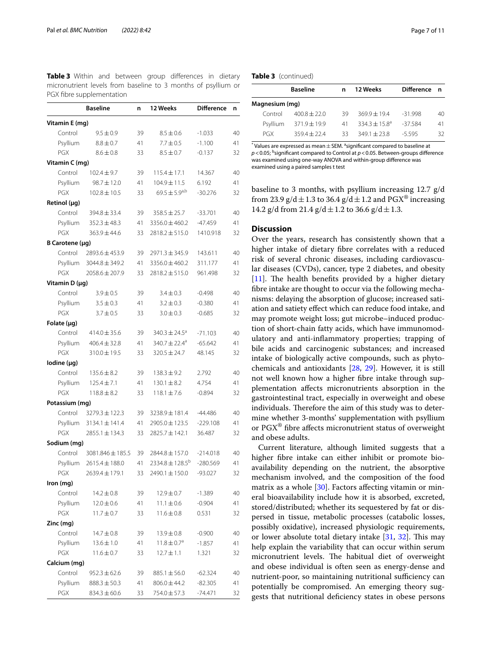|                  | <b>Baseline</b>    | n  | 12 Weeks                      | <b>Difference</b> | n  |
|------------------|--------------------|----|-------------------------------|-------------------|----|
| Vitamin E (mg)   |                    |    |                               |                   |    |
| Control          | $9.5 \pm 0.9$      | 39 | $8.5 \pm 0.6$                 | $-1.033$          | 40 |
| Psyllium         | $8.8 \pm 0.7$      | 41 | $7.7 \pm 0.5$                 | $-1.100$          | 41 |
| PGX              | $8.6 \pm 0.8$      | 33 | $8.5 \pm 0.7$                 | $-0.137$          | 32 |
| Vitamin C (mg)   |                    |    |                               |                   |    |
| Control          | $102.4 \pm 9.7$    | 39 | $115.4 \pm 17.1$              | 14.367            | 40 |
| Psyllium         | $98.7 \pm 12.0$    | 41 | 104.9±11.5                    | 6.192             | 41 |
| PGX              | $102.8 \pm 10.5$   | 33 | $69.5 \pm 5.9^{a,b}$          | $-30.276$         | 32 |
| Retinol (µg)     |                    |    |                               |                   |    |
| Control          | $394.8 \pm 33.4$   | 39 | $358.5 \pm 25.7$              | $-33.701$         | 40 |
| Psyllium         | $352.3 \pm 48.3$   | 41 | $3356.0 \pm 460.2$            | -47.459           | 41 |
| PGX              | $363.9 \pm 44.6$   | 33 | $2818.2 \pm 515.0$            | 1410.918          | 32 |
| B Carotene (µg)  |                    |    |                               |                   |    |
| Control          | 2893.6 ± 453.9     | 39 | $2971.3 \pm 345.9$            | 143.611           | 40 |
| Psyllium         | $3044.8 \pm 349.2$ | 41 | $3356.0 \pm 460.2$            | 311.177           | 41 |
| PGX              | $2058.6 \pm 207.9$ | 33 | $2818.2 \pm 515.0$            | 961.498           | 32 |
| Vitamin D (µg)   |                    |    |                               |                   |    |
| Control          | $3.9 \pm 0.5$      | 39 | $3.4 \pm 0.3$                 | $-0.498$          | 40 |
| Psyllium         | $3.5 \pm 0.3$      | 41 | $3.2 \pm 0.3$                 | $-0.380$          | 41 |
| PGX              | $3.7 \pm 0.5$      | 33 | $3.0 \pm 0.3$                 | $-0.685$          | 32 |
| Folate $(\mu g)$ |                    |    |                               |                   |    |
| Control          | $414.0 \pm 35.6$   | 39 | $340.3 \pm 24.5^a$            | $-71.103$         | 40 |
| Psyllium         | $406.4 \pm 32.8$   | 41 | 340.7 $\pm$ 22.4 <sup>a</sup> | $-65.642$         | 41 |
| PGX              | 310.0 ± 19.5       | 33 | $320.5 \pm 24.7$              | 48.145            | 32 |
| lodine (µg)      |                    |    |                               |                   |    |
| Control          | $135.6 \pm 8.2$    | 39 | $138.3 \pm 9.2$               | 2.792             | 40 |
| Psyllium         | $125.4 \pm 7.1$    | 41 | $130.1 \pm 8.2$               | 4.754             | 41 |
| PGX              | $118.8 \pm 8.2$    | 33 | $118.1 \pm 7.6$               | $-0.894$          | 32 |
| Potassium (mg)   |                    |    |                               |                   |    |
| Control          | $3279.3 \pm 122.3$ | 39 | 3238.9 ± 181.4                | $-44.486$         | 40 |
| Psyllium         | $3134.1 \pm 141.4$ | 41 | 2905.0 ± 123.5                | $-229.108$        | 41 |
| PGX              | $2855.1 \pm 134.3$ | 33 | 2825.7 ± 142.1                | 36.487            | 32 |
| Sodium (mg)      |                    |    |                               |                   |    |
| Control          | 3081.846 ± 185.5   | 39 | 2844.8 ± 157.0                | $-214.018$        | 40 |
| Psyllium         | 2615.4 ± 188.0     | 41 | $2334.8 \pm 128.5^{\rm b}$    | $-280.569$        | 41 |
| PGX              | 2639.4±179.1       | 33 | 2490.1 ± 150.0                | $-93.027$         | 32 |
| Iron (mg)        |                    |    |                               |                   |    |
| Control          | $14.2 \pm 0.8$     | 39 | $12.9 \pm 0.7$                | $-1.389$          | 40 |
| Psyllium         | $12.0 \pm 0.6$     | 41 | $11.1 \pm 0.6$                | $-0.904$          | 41 |
| PGX              | $11.7 \pm 0.7$     | 33 | $11.6 \pm 0.8$                | 0.531             | 32 |
| Zinc (mg)        |                    |    |                               |                   |    |
| Control          | $14.7 \pm 0.8$     | 39 | $13.9 \pm 0.8$                | $-0.900$          | 40 |
| Psyllium         | $13.6 \pm 1.0$     | 41 | $11.8 \pm 0.7^a$              | -1.857            | 41 |
| PGX              | $11.6 \pm 0.7$     | 33 | $12.7 \pm 1.1$                | 1.321             | 32 |
| Calcium (mg)     |                    |    |                               |                   |    |
| Control          | $952.3 \pm 62.6$   | 39 | $885.1 \pm 56.0$              | $-62.324$         | 40 |
| Psyllium         | $888.3 \pm 50.3$   | 41 | $806.0 \pm 44.2$              | $-82.305$         | 41 |
| PGX              | $834.3 \pm 60.6$   | 33 | 754.0 ± 57.3                  | -74.471           | 32 |

<span id="page-6-0"></span>**Table 3** Within and between group differences in dietary micronutrient levels from baseline to 3 months of psyllium or PGX fbre supplementation

#### **Table 3** (continued)

|                | <b>Baseline</b>  | n  | 12 Weeks           | Difference n |    |
|----------------|------------------|----|--------------------|--------------|----|
| Magnesium (mg) |                  |    |                    |              |    |
| Control        | $400.8 + 22.0$   | 39 | $369.9 + 19.4$     | $-31.998$    | 40 |
| Psyllium       | $371.9 \pm 19.9$ | 41 | $334.3 \pm 15.8^a$ | $-37584$     | 41 |
| <b>PGX</b>     | $359.4 + 22.4$   | २२ | $3491 + 238$       | $-5595$      | 32 |

\* Values are expressed as mean  $\pm$  SEM. <sup>a</sup>significant compared to baseline at p < 0.05; <sup>b</sup>significant compared to Control at p < 0.05. Between-groups difference was examined using one-way ANOVA and within-group diference was examined using a paired samples t test

baseline to 3 months, with psyllium increasing 12.7 g/d from 23.9 g/d  $\pm$  1.3 to 36.4 g/d  $\pm$  1.2 and PGX<sup>®</sup> increasing 14.2 g/d from 21.4 g/d  $\pm$  1.2 to 36.6 g/d  $\pm$  1.3.

#### **Discussion**

Over the years, research has consistently shown that a higher intake of dietary fbre correlates with a reduced risk of several chronic diseases, including cardiovascular diseases (CVDs), cancer, type 2 diabetes, and obesity [[11\]](#page-9-10). The health benefits provided by a higher dietary fbre intake are thought to occur via the following mechanisms: delaying the absorption of glucose; increased satiation and satiety efect which can reduce food intake, and may promote weight loss; gut microbe–induced production of short-chain fatty acids, which have immunomodulatory and anti-infammatory properties; trapping of bile acids and carcinogenic substances; and increased intake of biologically active compounds, such as phytochemicals and antioxidants [[28,](#page-10-9) [29\]](#page-10-10). However, it is still not well known how a higher fbre intake through supplementation afects micronutrients absorption in the gastrointestinal tract, especially in overweight and obese individuals. Therefore the aim of this study was to determine whether 3-months' supplementation with psyllium or PGX® fbre afects micronutrient status of overweight and obese adults.

Current literature, although limited suggests that a higher fbre intake can either inhibit or promote bioavailability depending on the nutrient, the absorptive mechanism involved, and the composition of the food matrix as a whole [[30\]](#page-10-11). Factors affecting vitamin or mineral bioavailability include how it is absorbed, excreted, stored/distributed; whether its sequestered by fat or dispersed in tissue, metabolic processes (catabolic losses, possibly oxidative), increased physiologic requirements, or lower absolute total dietary intake [[31](#page-10-12), [32\]](#page-10-13). This may help explain the variability that can occur within serum micronutrient levels. The habitual diet of overweight and obese individual is often seen as energy-dense and nutrient-poor, so maintaining nutritional sufficiency can potentially be compromised. An emerging theory suggests that nutritional defciency states in obese persons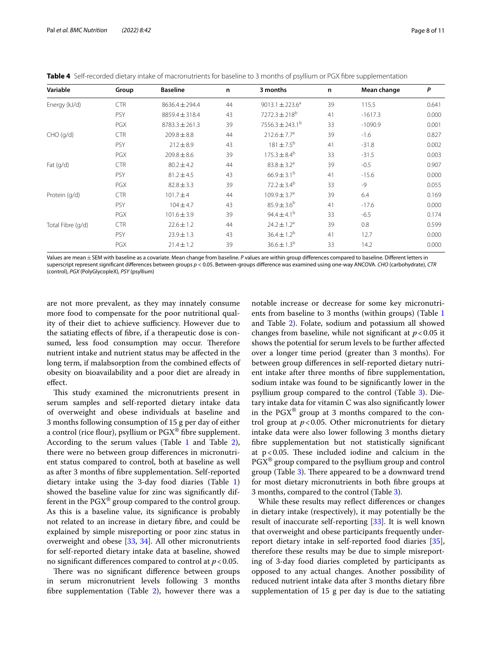| Variable          | Group      | <b>Baseline</b>    | n  | 3 months                      | n  | Mean change | P     |
|-------------------|------------|--------------------|----|-------------------------------|----|-------------|-------|
| Energy (kJ/d)     | <b>CTR</b> | $8636.4 \pm 294.4$ | 44 | $9013.1 \pm 223.6^a$          | 39 | 115.5       | 0.641 |
|                   | <b>PSY</b> | 8859.4 ± 318.4     | 43 | $7272.3 \pm 218$ <sup>b</sup> | 41 | $-1617.3$   | 0.000 |
|                   | <b>PGX</b> | $8783.3 \pm 261.3$ | 39 | $7556.3 \pm 243.1^b$          | 33 | $-1090.9$   | 0.001 |
| CHO (q/d)         | <b>CTR</b> | $209.8 \pm 8.8$    | 44 | $212.6 \pm 7.7$ <sup>a</sup>  | 39 | $-1.6$      | 0.827 |
|                   | <b>PSY</b> | $212 \pm 8.9$      | 43 | $181 \pm 7.5^{\rm b}$         | 41 | $-31.8$     | 0.002 |
|                   | PGX        | $209.8 \pm 8.6$    | 39 | $175.3 \pm 8.4^b$             | 33 | $-31.5$     | 0.003 |
| Fat $(q/d)$       | <b>CTR</b> | $80.2 \pm 4.2$     | 44 | $83.8 \pm 3.2^a$              | 39 | $-0.5$      | 0.907 |
|                   | <b>PSY</b> | $81.2 \pm 4.5$     | 43 | $66.9 \pm 3.1^{\rm b}$        | 41 | $-15.6$     | 0.000 |
|                   | PGX        | $82.8 \pm 3.3$     | 39 | $72.2 \pm 3.4^{\circ}$        | 33 | $-9$        | 0.055 |
| Protein (g/d)     | <b>CTR</b> | $101.7 \pm 4$      | 44 | $109.9 \pm 3.7^a$             | 39 | 6.4         | 0.169 |
|                   | PSY        | $104 \pm 4.7$      | 43 | $85.9 \pm 3.6^{b}$            | 41 | $-17.6$     | 0.000 |
|                   | PGX        | $101.6 \pm 3.9$    | 39 | 94.4 ± 4.1 <sup>b</sup>       | 33 | $-6.5$      | 0.174 |
| Total Fibre (g/d) | <b>CTR</b> | $22.6 \pm 1.2$     | 44 | $24.2 \pm 1.2$ <sup>a</sup>   | 39 | 0.8         | 0.599 |
|                   | <b>PSY</b> | $23.9 \pm 1.3$     | 43 | $36.4 \pm 1.2^{b}$            | 41 | 12.7        | 0.000 |
|                   | PGX        | $21.4 \pm 1.2$     | 39 | $36.6 \pm 1.3^{b}$            | 33 | 14.2        | 0.000 |

<span id="page-7-0"></span>**Table 4** Self-recorded dietary intake of macronutrients for baseline to 3 months of psyllium or PGX fibre supplementation

Values are mean±SEM with baseline as a covariate. Mean change from baseline. *P* values are within group diferences compared to baseline. Diferent letters in superscript represent signifcant diferences between groups *p* < 0.05. Between-groups diference was examined using one-way ANCOVA. *CHO* (carbohydrate), *CTR* (control), *PGX* (PolyGlycopleX), *PSY* (psyllium)

are not more prevalent, as they may innately consume more food to compensate for the poor nutritional quality of their diet to achieve sufficiency. However due to the satiating efects of fbre, if a therapeutic dose is consumed, less food consumption may occur. Therefore nutrient intake and nutrient status may be afected in the long term, if malabsorption from the combined efects of obesity on bioavailability and a poor diet are already in efect.

This study examined the micronutrients present in serum samples and self-reported dietary intake data of overweight and obese individuals at baseline and 3 months following consumption of 15 g per day of either a control (rice flour), psyllium or  $PGX^{\circledast}$  fibre supplement. According to the serum values (Table  $1$  and Table  $2$ ), there were no between group diferences in micronutrient status compared to control, both at baseline as well as after 3 months of fbre supplementation. Self-reported dietary intake using the 3-day food diaries (Table [1](#page-4-0)) showed the baseline value for zinc was signifcantly different in the  $PGX^{\omega}$  group compared to the control group. As this is a baseline value, its signifcance is probably not related to an increase in dietary fbre, and could be explained by simple misreporting or poor zinc status in overweight and obese [\[33,](#page-10-14) [34](#page-10-15)]. All other micronutrients for self-reported dietary intake data at baseline, showed no signifcant diferences compared to control at *p*<0.05.

There was no significant difference between groups in serum micronutrient levels following 3 months fbre supplementation (Table [2\)](#page-5-0), however there was a notable increase or decrease for some key micronutrients from baseline to 3 months (within groups) (Table [1](#page-4-0) and Table [2\)](#page-5-0). Folate, sodium and potassium all showed changes from baseline, while not signifcant at *p*<0.05 it shows the potential for serum levels to be further afected over a longer time period (greater than 3 months). For between group diferences in self-reported dietary nutrient intake after three months of fbre supplementation, sodium intake was found to be signifcantly lower in the psyllium group compared to the control (Table [3\)](#page-6-0). Dietary intake data for vitamin C was also signifcantly lower in the  $PGX^{\omega}$  group at 3 months compared to the control group at  $p < 0.05$ . Other micronutrients for dietary intake data were also lower following 3 months dietary fbre supplementation but not statistically signifcant at  $p < 0.05$ . These included iodine and calcium in the  $PGX^{\omega}$  group compared to the psyllium group and control group (Table [3\)](#page-6-0). There appeared to be a downward trend for most dietary micronutrients in both fbre groups at 3 months, compared to the control (Table [3\)](#page-6-0).

While these results may refect diferences or changes in dietary intake (respectively), it may potentially be the result of inaccurate self-reporting [[33\]](#page-10-14). It is well known that overweight and obese participants frequently underreport dietary intake in self-reported food diaries [\[35](#page-10-16)], therefore these results may be due to simple misreporting of 3-day food diaries completed by participants as opposed to any actual changes. Another possibility of reduced nutrient intake data after 3 months dietary fbre supplementation of 15 g per day is due to the satiating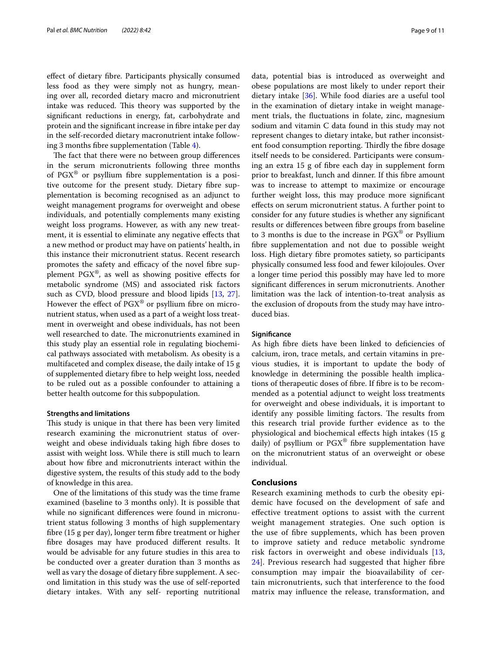efect of dietary fbre. Participants physically consumed less food as they were simply not as hungry, meaning over all, recorded dietary macro and micronutrient intake was reduced. This theory was supported by the signifcant reductions in energy, fat, carbohydrate and protein and the signifcant increase in fbre intake per day in the self-recorded dietary macronutrient intake following 3 months fbre supplementation (Table [4](#page-7-0)).

The fact that there were no between group differences in the serum micronutrients following three months of PGX® or psyllium fbre supplementation is a positive outcome for the present study. Dietary fbre supplementation is becoming recognised as an adjunct to weight management programs for overweight and obese individuals, and potentially complements many existing weight loss programs. However, as with any new treatment, it is essential to eliminate any negative efects that a new method or product may have on patients' health, in this instance their micronutrient status. Recent research promotes the safety and efficacy of the novel fibre supplement  $PGX^{\circledast}$ , as well as showing positive effects for metabolic syndrome (MS) and associated risk factors such as CVD, blood pressure and blood lipids [\[13](#page-9-11), [27](#page-10-8)]. However the effect of  $PGX^{\circledast}$  or psyllium fibre on micronutrient status, when used as a part of a weight loss treatment in overweight and obese individuals, has not been well researched to date. The micronutrients examined in this study play an essential role in regulating biochemical pathways associated with metabolism. As obesity is a multifaceted and complex disease, the daily intake of 15 g of supplemented dietary fbre to help weight loss, needed to be ruled out as a possible confounder to attaining a better health outcome for this subpopulation.

#### **Strengths and limitations**

This study is unique in that there has been very limited research examining the micronutrient status of overweight and obese individuals taking high fibre doses to assist with weight loss. While there is still much to learn about how fbre and micronutrients interact within the digestive system, the results of this study add to the body of knowledge in this area.

One of the limitations of this study was the time frame examined (baseline to 3 months only). It is possible that while no signifcant diferences were found in micronutrient status following 3 months of high supplementary fbre (15 g per day), longer term fbre treatment or higher fbre dosages may have produced diferent results. It would be advisable for any future studies in this area to be conducted over a greater duration than 3 months as well as vary the dosage of dietary fbre supplement. A second limitation in this study was the use of self-reported dietary intakes. With any self- reporting nutritional data, potential bias is introduced as overweight and obese populations are most likely to under report their dietary intake [\[36\]](#page-10-17). While food diaries are a useful tool in the examination of dietary intake in weight management trials, the fuctuations in folate, zinc, magnesium sodium and vitamin C data found in this study may not represent changes to dietary intake, but rather inconsistent food consumption reporting. Thirdly the fibre dosage itself needs to be considered. Participants were consuming an extra 15 g of fbre each day in supplement form prior to breakfast, lunch and dinner. If this fbre amount was to increase to attempt to maximize or encourage further weight loss, this may produce more signifcant efects on serum micronutrient status. A further point to consider for any future studies is whether any signifcant results or diferences between fbre groups from baseline to 3 months is due to the increase in  $PGX^{\circledast}$  or Psyllium fbre supplementation and not due to possible weight loss. High dietary fbre promotes satiety, so participants physically consumed less food and fewer kilojoules. Over a longer time period this possibly may have led to more signifcant diferences in serum micronutrients. Another limitation was the lack of intention-to-treat analysis as the exclusion of dropouts from the study may have introduced bias.

#### **Signifcance**

As high fbre diets have been linked to defciencies of calcium, iron, trace metals, and certain vitamins in previous studies, it is important to update the body of knowledge in determining the possible health implications of therapeutic doses of fbre. If fbre is to be recommended as a potential adjunct to weight loss treatments for overweight and obese individuals, it is important to identify any possible limiting factors. The results from this research trial provide further evidence as to the physiological and biochemical efects high intakes (15 g daily) of psyllium or  $PGX^{\circledast}$  fibre supplementation have on the micronutrient status of an overweight or obese individual.

#### **Conclusions**

Research examining methods to curb the obesity epidemic have focused on the development of safe and efective treatment options to assist with the current weight management strategies. One such option is the use of fbre supplements, which has been proven to improve satiety and reduce metabolic syndrome risk factors in overweight and obese individuals [\[13](#page-9-11), [24\]](#page-10-5). Previous research had suggested that higher fbre consumption may impair the bioavailability of certain micronutrients, such that interference to the food matrix may infuence the release, transformation, and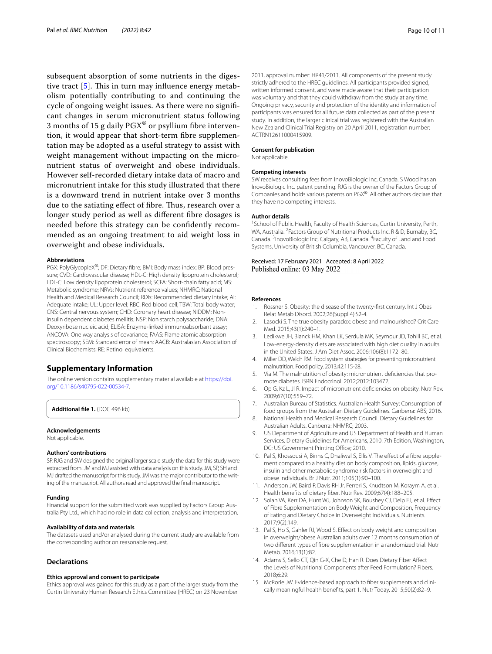subsequent absorption of some nutrients in the digestive tract  $[5]$  $[5]$  $[5]$ . This in turn may influence energy metabolism potentially contributing to and continuing the cycle of ongoing weight issues. As there were no signifcant changes in serum micronutrient status following 3 months of 15 g daily  $PGX^{\circledast}$  or psyllium fibre intervention, it would appear that short-term fibre supplementation may be adopted as a useful strategy to assist with weight management without impacting on the micronutrient status of overweight and obese individuals. However self-recorded dietary intake data of macro and micronutrient intake for this study illustrated that there is a downward trend in nutrient intake over 3 months due to the satiating effect of fibre. Thus, research over a longer study period as well as diferent fbre dosages is needed before this strategy can be confdently recommended as an ongoing treatment to aid weight loss in overweight and obese individuals.

#### **Abbreviations**

PGX: PolyGlycopleX<sup>®</sup>; DF: Dietary fibre; BMI: Body mass index; BP: Blood pressure; CVD: Cardiovascular disease; HDL-C: High density lipoprotein cholesterol; LDL-C: Low density lipoprotein cholesterol; SCFA: Short-chain fatty acid; MS: Metabolic syndrome; NRVs: Nutrient reference values; NHMRC: National Health and Medical Research Council; RDIs: Recommended dietary intake; AI: Adequate intake; UL: Upper level; RBC: Red blood cell; TBW: Total body water; CNS: Central nervous system; CHD: Coronary heart disease; NIDDM: Noninsulin dependent diabetes mellitis; NSP: Non starch polysaccharide; DNA: Deoxyribose nucleic acid; ELISA: Enzyme-linked immunoabsorbant assay; ANCOVA: One way analysis of covariance; FAAS: Flame atomic absorption spectroscopy; SEM: Standard error of mean; AACB: Australasian Association of Clinical Biochemists; RE: Retinol equivalents.

#### **Supplementary Information**

The online version contains supplementary material available at [https://doi.](https://doi.org/10.1186/s40795-022-00534-7) [org/10.1186/s40795-022-00534-7](https://doi.org/10.1186/s40795-022-00534-7).

**Additional fle 1.** (DOC 496 kb)

#### **Acknowledgements**

Not applicable.

#### **Authors' contributions**

SP, RJG and SW designed the original larger scale study the data for this study were extracted from. JM and MJ assisted with data analysis on this study. JM, SP, SH and MJ drafted the manuscript for this study. JM was the major contributor to the writing of the manuscript. All authors read and approved the fnal manuscript.

#### **Funding**

Financial support for the submitted work was supplied by Factors Group Australia Pty Ltd., which had no role in data collection, analysis and interpretation.

#### **Availability of data and materials**

The datasets used and/or analysed during the current study are available from the corresponding author on reasonable request.

#### **Declarations**

#### **Ethics approval and consent to participate**

Ethics approval was gained for this study as a part of the larger study from the Curtin University Human Research Ethics Committee (HREC) on 23 November

2011, approval number: HR41/2011. All components of the present study strictly adhered to the HREC guidelines. All participants provided signed, written informed consent, and were made aware that their participation was voluntary and that they could withdraw from the study at any time. Ongoing privacy, security and protection of the identity and information of participants was ensured for all future data collected as part of the present study. In addition, the larger clinical trial was registered with the Australian New Zealand Clinical Trial Registry on 20 April 2011, registration number: ACTRN12611000415909.

#### **Consent for publication**

Not applicable.

#### **Competing interests**

SW receives consulting fees from InovoBiologic Inc, Canada. S Wood has an InovoBiologic Inc. patent pending. RJG is the owner of the Factors Group of Companies and holds various patents on PGX®. All other authors declare that they have no competing interests.

#### **Author details**

<sup>1</sup> School of Public Health, Faculty of Health Sciences, Curtin University, Perth, WA, Australia. <sup>2</sup> Factors Group of Nutritional Products Inc. R & D, Burnaby, BC, Canada. <sup>3</sup> InovoBiologic Inc, Calgary, AB, Canada. <sup>4</sup> Faculty of Land and Food Systems, University of British Columbia, Vancouver, BC, Canada.

#### Received: 17 February 2021 Accepted: 8 April 2022 Published online: 03 May 2022

#### **References**

- <span id="page-9-0"></span>Rossner S. Obesity: the disease of the twenty-first century. Int J Obes Relat Metab Disord. 2002;26(Suppl 4):S2-4.
- <span id="page-9-1"></span>2. Lasocki S. The true obesity paradox: obese and malnourished? Crit Care Med. 2015;43(1):240–1.
- <span id="page-9-2"></span>3. Ledikwe JH, Blanck HM, Khan LK, Serdula MK, Seymour JD, Tohill BC, et al. Low-energy-density diets are associated with high diet quality in adults in the United States. J Am Diet Assoc. 2006;106(8):1172–80.
- <span id="page-9-3"></span>4. Miller DD, Welch RM. Food system strategies for preventing micronutrient malnutrition. Food policy. 2013;42:115-28.
- <span id="page-9-4"></span>5. Via M. The malnutrition of obesity: micronutrient defciencies that promote diabetes. ISRN Endocrinol. 2012;2012:103472.
- <span id="page-9-5"></span>6. Op G, Kz L, Jl R. Impact of micronutrient defciencies on obesity. Nutr Rev. 2009;67(10):559–72.
- <span id="page-9-6"></span>7. Australian Bureau of Statistics. Australian Health Survey: Consumption of food groups from the Australian Dietary Guidelines. Canberra: ABS; 2016.
- <span id="page-9-7"></span>8. National Health and Medical Research Council. Dietary Guidelines for Australian Adults. Canberra: NHMRC; 2003.
- <span id="page-9-8"></span>9. US Department of Agriculture and US Department of Health and Human Services. Dietary Guidelines for Americans, 2010. 7th Edition, Washington, DC: US Government Printing Office; 2010.
- <span id="page-9-9"></span>10. Pal S, Khossousi A, Binns C, Dhaliwal S, Ellis V. The effect of a fibre supplement compared to a healthy diet on body composition, lipids, glucose, insulin and other metabolic syndrome risk factors in overweight and obese individuals. Br J Nutr. 2011;105(1):90–100.
- <span id="page-9-10"></span>11. Anderson JW, Baird P, Davis RH Jr, Ferreri S, Knudtson M, Koraym A, et al. Health benefts of dietary fber. Nutr Rev. 2009;67(4):188–205.
- 12. Solah VA, Kerr DA, Hunt WJ, Johnson SK, Boushey CJ, Delp EJ, et al. Efect of Fibre Supplementation on Body Weight and Composition, Frequency of Eating and Dietary Choice in Overweight Individuals. Nutrients. 2017;9(2):149.
- <span id="page-9-11"></span>13. Pal S, Ho S, Gahler RJ, Wood S. Efect on body weight and composition in overweight/obese Australian adults over 12 months consumption of two diferent types of fbre supplementation in a randomized trial. Nutr Metab. 2016;13(1):82.
- <span id="page-9-12"></span>14. Adams S, Sello CT, Qin G-X, Che D, Han R. Does Dietary Fiber Afect the Levels of Nutritional Components after Feed Formulation? Fibers. 2018;6:29.
- <span id="page-9-13"></span>15. McRorie JW. Evidence-based approach to fber supplements and clinically meaningful health benefts, part 1. Nutr Today. 2015;50(2):82–9.